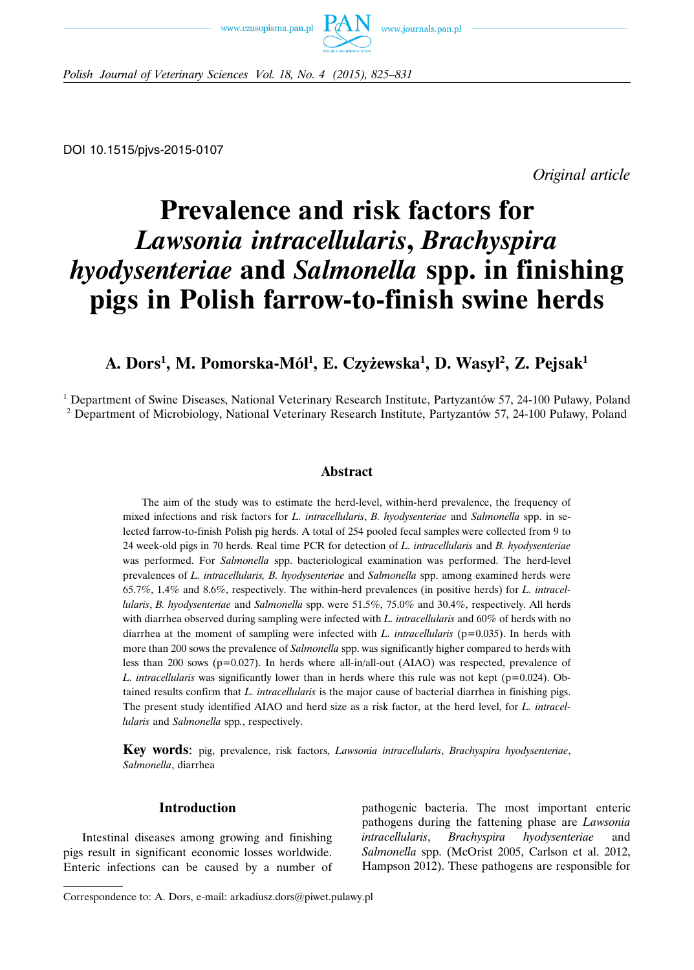



*Polish Journal of Veterinary Sciences Vol. 18, No. 4 (2015), 825–831*

DOI 10.1515/pjvs-2015-0107

*Original article*

# **Prevalence and risk factors for** *Lawsonia intracellularis***,** *Brachyspira hyodysenteriae* **and** *Salmonella* **spp. in finishing pigs in Polish farrow-to-finish swine herds**

# **A. Dors1 , M. Pomorska-Mól1 , E. Czyżewska1 , D. Wasyl2 , Z. Pejsak1**

<sup>1</sup> Department of Swine Diseases, National Veterinary Research Institute, Partyzantów 57, 24-100 Puławy, Poland <sup>2</sup> Department of Microbiology, National Veterinary Research Institute, Partyzantów 57, 24-100 Puławy, Poland

# **Abstract**

The aim of the study was to estimate the herd-level, within-herd prevalence, the frequency of mixed infections and risk factors for *L. intracellularis*, *B. hyodysenteriae* and *Salmonella* spp. in selected farrow-to-finish Polish pig herds. A total of 254 pooled fecal samples were collected from 9 to 24 week-old pigs in 70 herds. Real time PCR for detection of *L. intracellularis* and *B. hyodysenteriae* was performed. For *Salmonella* spp. bacteriological examination was performed. The herd-level prevalences of *L. intracellularis, B. hyodysenteriae* and *Salmonella* spp. among examined herds were 65.7%, 1.4% and 8.6%, respectively. The within-herd prevalences (in positive herds) for *L. intracellularis*, *B. hyodysenteriae* and *Salmonella* spp. were 51.5%, 75.0% and 30.4%, respectively. All herds with diarrhea observed during sampling were infected with *L. intracellularis* and 60% of herds with no diarrhea at the moment of sampling were infected with *L. intracellularis* ( $p=0.035$ ). In herds with more than 200 sows the prevalence of *Salmonella* spp. was significantly higher compared to herds with less than 200 sows (p=0.027). In herds where all-in/all-out (AIAO) was respected, prevalence of *L. intracellularis* was significantly lower than in herds where this rule was not kept ( $p=0.024$ ). Obtained results confirm that *L. intracellularis* is the major cause of bacterial diarrhea in finishing pigs. The present study identified AIAO and herd size as a risk factor, at the herd level, for *L. intracellularis* and *Salmonella* spp*.*, respectively.

**Key words**: pig, prevalence, risk factors, *Lawsonia intracellularis*, *Brachyspira hyodysenteriae*, *Salmonella*, diarrhea

# **Introduction**

Intestinal diseases among growing and finishing pigs result in significant economic losses worldwide. Enteric infections can be caused by a number of

pathogenic bacteria. The most important enteric pathogens during the fattening phase are *Lawsonia intracellularis*, *Brachyspira hyodysenteriae* and *Salmonella* spp. (McOrist 2005, Carlson et al. 2012, Hampson 2012). These pathogens are responsible for

Correspondence to: A. Dors, e-mail: arkadiusz.dors@piwet.pulawy.pl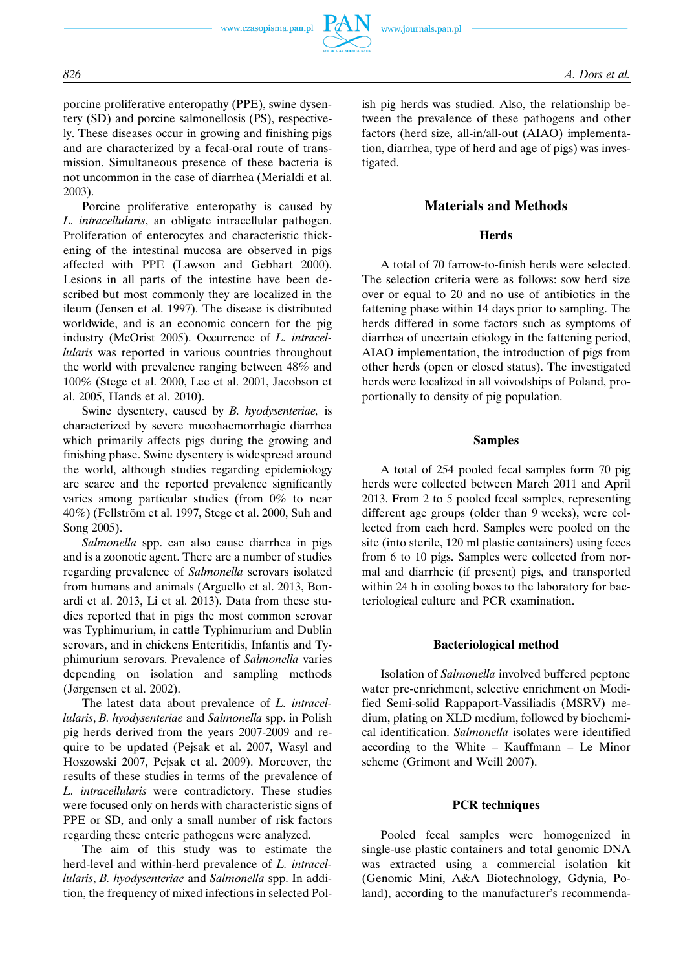

porcine proliferative enteropathy (PPE), swine dysentery (SD) and porcine salmonellosis (PS), respectively. These diseases occur in growing and finishing pigs and are characterized by a fecal-oral route of transmission. Simultaneous presence of these bacteria is not uncommon in the case of diarrhea (Merialdi et al. 2003).

Porcine proliferative enteropathy is caused by *L. intracellularis*, an obligate intracellular pathogen. Proliferation of enterocytes and characteristic thickening of the intestinal mucosa are observed in pigs affected with PPE (Lawson and Gebhart 2000). Lesions in all parts of the intestine have been described but most commonly they are localized in the ileum (Jensen et al. 1997). The disease is distributed worldwide, and is an economic concern for the pig industry (McOrist 2005). Occurrence of *L. intracellularis* was reported in various countries throughout the world with prevalence ranging between 48% and 100% (Stege et al. 2000, Lee et al. 2001, Jacobson et al. 2005, Hands et al. 2010).

Swine dysentery, caused by *B. hyodysenteriae,* is characterized by severe mucohaemorrhagic diarrhea which primarily affects pigs during the growing and finishing phase. Swine dysentery is widespread around the world, although studies regarding epidemiology are scarce and the reported prevalence significantly varies among particular studies (from 0% to near 40%) (Fellström et al. 1997, Stege et al. 2000, Suh and Song 2005).

*Salmonella* spp. can also cause diarrhea in pigs and is a zoonotic agent. There are a number of studies regarding prevalence of *Salmonella* serovars isolated from humans and animals (Arguello et al. 2013, Bonardi et al. 2013, Li et al. 2013). Data from these studies reported that in pigs the most common serovar was Typhimurium, in cattle Typhimurium and Dublin serovars, and in chickens Enteritidis, Infantis and Typhimurium serovars. Prevalence of *Salmonella* varies depending on isolation and sampling methods (Jørgensen et al. 2002).

The latest data about prevalence of *L. intracellularis*, *B. hyodysenteriae* and *Salmonella* spp. in Polish pig herds derived from the years 2007-2009 and require to be updated (Pejsak et al. 2007, Wasyl and Hoszowski 2007, Pejsak et al. 2009). Moreover, the results of these studies in terms of the prevalence of *L. intracellularis* were contradictory. These studies were focused only on herds with characteristic signs of PPE or SD, and only a small number of risk factors regarding these enteric pathogens were analyzed.

The aim of this study was to estimate the herd-level and within-herd prevalence of *L. intracellularis*, *B. hyodysenteriae* and *Salmonella* spp. In addition, the frequency of mixed infections in selected Polish pig herds was studied. Also, the relationship between the prevalence of these pathogens and other factors (herd size, all-in/all-out (AIAO) implementation, diarrhea, type of herd and age of pigs) was investigated.

# **Materials and Methods**

#### **Herds**

A total of 70 farrow-to-finish herds were selected. The selection criteria were as follows: sow herd size over or equal to 20 and no use of antibiotics in the fattening phase within 14 days prior to sampling. The herds differed in some factors such as symptoms of diarrhea of uncertain etiology in the fattening period, AIAO implementation, the introduction of pigs from other herds (open or closed status). The investigated herds were localized in all voivodships of Poland, proportionally to density of pig population.

## **Samples**

A total of 254 pooled fecal samples form 70 pig herds were collected between March 2011 and April 2013. From 2 to 5 pooled fecal samples, representing different age groups (older than 9 weeks), were collected from each herd. Samples were pooled on the site (into sterile, 120 ml plastic containers) using feces from 6 to 10 pigs. Samples were collected from normal and diarrheic (if present) pigs, and transported within 24 h in cooling boxes to the laboratory for bacteriological culture and PCR examination.

#### **Bacteriological method**

Isolation of *Salmonella* involved buffered peptone water pre-enrichment, selective enrichment on Modified Semi-solid Rappaport-Vassiliadis (MSRV) medium, plating on XLD medium, followed by biochemical identification. *Salmonella* isolates were identified according to the White – Kauffmann – Le Minor scheme (Grimont and Weill 2007).

#### **PCR techniques**

Pooled fecal samples were homogenized in single-use plastic containers and total genomic DNA was extracted using a commercial isolation kit (Genomic Mini, A&A Biotechnology, Gdynia, Poland), according to the manufacturer's recommenda-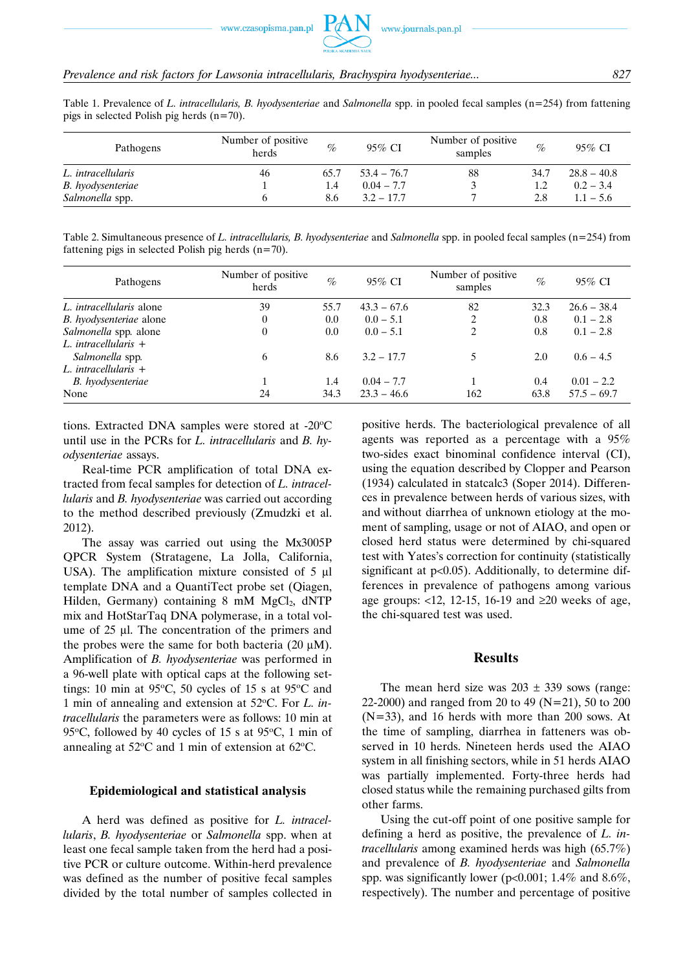

Table 1. Prevalence of *L. intracellularis, B. hyodysenteriae* and *Salmonella* spp. in pooled fecal samples (n=254) from fattening pigs in selected Polish pig herds (n=70).

| Pathogens          | Number of positive.<br>herds | $\%$ | 95% CI        | Number of positive.<br>samples | $\%$ | 95% CI        |  |
|--------------------|------------------------------|------|---------------|--------------------------------|------|---------------|--|
| L. intracellularis | 46                           | 65.7 | $53.4 - 76.7$ | 88                             | 34.7 | $28.8 - 40.8$ |  |
| B. hyodysenteriae  |                              | 1.4  | $0.04 - 7.7$  |                                |      | $0.2 - 3.4$   |  |
| Salmonella spp.    |                              | 8.6  | $3.2 - 17.7$  |                                | 2.8  | $1.1 - 5.6$   |  |

Table 2. Simultaneous presence of *L. intracellularis, B. hyodysenteriae* and *Salmonella* spp. in pooled fecal samples (n=254) from fattening pigs in selected Polish pig herds  $(n=70)$ .

| Pathogens                       | Number of positive<br>herds | $\%$ | 95% CI        | Number of positive<br>samples | $\%$ | 95% CI        |  |
|---------------------------------|-----------------------------|------|---------------|-------------------------------|------|---------------|--|
| L. <i>intracellularis</i> alone | 39                          | 55.7 | $43.3 - 67.6$ | 82                            | 32.3 | $26.6 - 38.4$ |  |
| B. hyodysenteriae alone         | $\theta$                    | 0.0  | $0.0 - 5.1$   | 2                             | 0.8  | $0.1 - 2.8$   |  |
| Salmonella spp. alone           | $\theta$                    | 0.0  | $0.0 - 5.1$   | 2                             | 0.8  | $0.1 - 2.8$   |  |
| L. intracellularis $+$          |                             |      |               |                               |      |               |  |
| Salmonella spp.                 | 6                           | 8.6  | $3.2 - 17.7$  | 5                             | 2.0  | $0.6 - 4.5$   |  |
| L. intracellularis $+$          |                             |      |               |                               |      |               |  |
| B. hyodysenteriae               |                             | 1.4  | $0.04 - 7.7$  |                               | 0.4  | $0.01 - 2.2$  |  |
| None                            | 24                          | 34.3 | $23.3 - 46.6$ | 162                           | 63.8 | $57.5 - 69.7$ |  |

tions. Extracted DNA samples were stored at  $-20^{\circ}$ C until use in the PCRs for *L. intracellularis* and *B. hyodysenteriae* assays.

Real-time PCR amplification of total DNA extracted from fecal samples for detection of *L. intracellularis* and *B. hyodysenteriae* was carried out according to the method described previously (Zmudzki et al. 2012).

The assay was carried out using the Mx3005P QPCR System (Stratagene, La Jolla, California, USA). The amplification mixture consisted of 5 μl template DNA and a QuantiTect probe set (Qiagen, Hilden, Germany) containing  $8 \text{ mM } MgCl<sub>2</sub>$ , dNTP mix and HotStarTaq DNA polymerase, in a total volume of 25 μl. The concentration of the primers and the probes were the same for both bacteria  $(20 \mu M)$ . Amplification of *B. hyodysenteriae* was performed in a 96-well plate with optical caps at the following settings: 10 min at 95 $\degree$ C, 50 cycles of 15 s at 95 $\degree$ C and 1 min of annealing and extension at 52°C. For *L. intracellularis* the parameters were as follows: 10 min at 95 $\degree$ C, followed by 40 cycles of 15 s at 95 $\degree$ C, 1 min of annealing at  $52^{\circ}$ C and 1 min of extension at 62 $^{\circ}$ C.

#### **Epidemiological and statistical analysis**

A herd was defined as positive for *L. intracellularis*, *B. hyodysenteriae* or *Salmonella* spp. when at least one fecal sample taken from the herd had a positive PCR or culture outcome. Within-herd prevalence was defined as the number of positive fecal samples divided by the total number of samples collected in

positive herds. The bacteriological prevalence of all agents was reported as a percentage with a 95% two-sides exact binominal confidence interval (CI), using the equation described by Clopper and Pearson (1934) calculated in statcalc3 (Soper 2014). Differences in prevalence between herds of various sizes, with and without diarrhea of unknown etiology at the moment of sampling, usage or not of AIAO, and open or closed herd status were determined by chi-squared test with Yates's correction for continuity (statistically significant at p<0.05). Additionally, to determine differences in prevalence of pathogens among various age groups: <12, 12-15, 16-19 and ≥20 weeks of age, the chi-squared test was used.

#### **Results**

The mean herd size was  $203 \pm 339$  sows (range: 22-2000) and ranged from 20 to 49 (N=21), 50 to 200 (N=33), and 16 herds with more than 200 sows. At the time of sampling, diarrhea in fatteners was observed in 10 herds. Nineteen herds used the AIAO system in all finishing sectors, while in 51 herds AIAO was partially implemented. Forty-three herds had closed status while the remaining purchased gilts from other farms.

Using the cut-off point of one positive sample for defining a herd as positive, the prevalence of *L. intracellularis* among examined herds was high (65.7%) and prevalence of *B. hyodysenteriae* and *Salmonella* spp. was significantly lower (p<0.001; 1.4% and 8.6%, respectively). The number and percentage of positive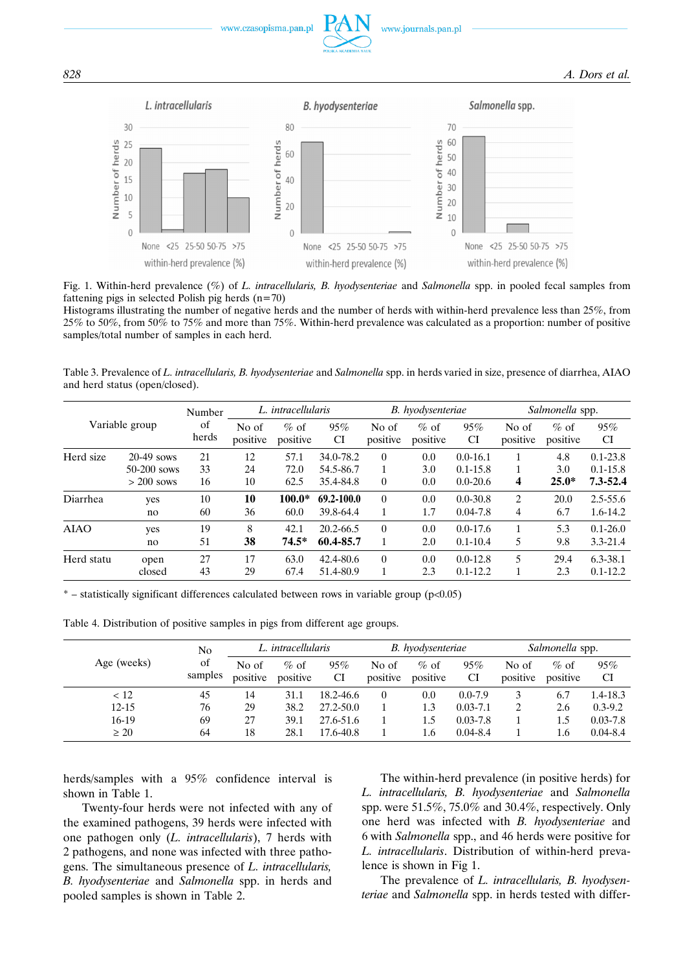

Fig. 1. Within-herd prevalence (%) of *L. intracellularis, B. hyodysenteriae* and *Salmonella* spp. in pooled fecal samples from fattening pigs in selected Polish pig herds  $(n=70)$ 

Histograms illustrating the number of negative herds and the number of herds with within-herd prevalence less than 25%, from 25% to 50%, from 50% to 75% and more than 75%. Within-herd prevalence was calculated as a proportion: number of positive samples/total number of samples in each herd.

Table 3. Prevalence of *L. intracellularis, B. hyodysenteriae* and *Salmonella* spp. in herds varied in size, presence of diarrhea, AIAO and herd status (open/closed).

| Variable group |               | Number      | L. intracellularis |                    |                  | B. hyodysenteriae |                    |                  | Salmonella spp.   |                    |                  |
|----------------|---------------|-------------|--------------------|--------------------|------------------|-------------------|--------------------|------------------|-------------------|--------------------|------------------|
|                |               | of<br>herds | No of<br>positive  | $%$ of<br>positive | 95%<br><b>CI</b> | No of<br>positive | $%$ of<br>positive | 95%<br><b>CI</b> | No of<br>positive | $%$ of<br>positive | 95%<br><b>CI</b> |
| Herd size      | $20-49$ sows  | 21          | 12                 | 57.1               | 34.0-78.2        | $\overline{0}$    | 0.0                | $0.0 - 16.1$     |                   | 4.8                | $0.1 - 23.8$     |
|                | $50-200$ sows | 33          | 24                 | 72.0               | 54.5-86.7        | 1                 | 3.0                | $0.1 - 15.8$     |                   | 3.0                | $0.1 - 15.8$     |
|                | $> 200$ sows  | 16          | 10                 | 62.5               | 35.4-84.8        | $\theta$          | 0.0                | $0.0 - 20.6$     | 4                 | $25.0*$            | $7.3 - 52.4$     |
| Diarrhea       | ves           | 10          | 10                 | $100.0*$           | 69.2-100.0       | $\theta$          | 0.0                | $0.0 - 30.8$     | 2                 | 20.0               | $2.5 - 55.6$     |
|                | no            | 60          | 36                 | 60.0               | 39.8-64.4        | 1                 | 1.7                | $0.04 - 7.8$     | 4                 | 6.7                | $1.6 - 14.2$     |
| <b>AIAO</b>    | yes           | 19          | 8                  | 42.1               | 20.2-66.5        | $\theta$          | 0.0                | $0.0 - 17.6$     | л.                | 5.3                | $0.1 - 26.0$     |
|                | no            | 51          | 38                 | $74.5*$            | 60.4-85.7        | 1                 | 2.0                | $0.1 - 10.4$     | 5                 | 9.8                | $3.3 - 21.4$     |
| Herd statu     | open          | 27          | 17                 | 63.0               | 42.4-80.6        | $\overline{0}$    | 0.0                | $0.0 - 12.8$     | 5                 | 29.4               | 6.3-38.1         |
|                | closed        | 43          | 29                 | 67.4               | 51.4-80.9        |                   | 2.3                | $0.1 - 12.2$     |                   | 2.3                | $0.1 - 12.2$     |

 $*$  – statistically significant differences calculated between rows in variable group ( $p<0.05$ )

Table 4. Distribution of positive samples in pigs from different age groups.

| Age (weeks) | N <sub>0</sub> | L. intracellularis |                    |                  | B. hyodysenteriae |                     |              | Salmonella spp.   |                     |              |
|-------------|----------------|--------------------|--------------------|------------------|-------------------|---------------------|--------------|-------------------|---------------------|--------------|
|             | of<br>samples  | No of<br>positive  | $%$ of<br>positive | 95%<br><b>CI</b> | No of<br>positive | $\%$ of<br>positive | 95%<br>CI    | No of<br>positive | $\%$ of<br>positive | 95%<br>CI    |
| < 12        | 45             | 14                 | 31.1               | 18.2-46.6        | $\theta$          | 0.0                 | $0.0 - 7.9$  | 3                 | 6.7                 | $1.4 - 18.3$ |
| $12 - 15$   | 76             | 29                 | 38.2               | $27.2 - 50.0$    |                   | 1.3                 | $0.03 - 7.1$ | 2                 | 2.6                 | $0.3 - 9.2$  |
| 16-19       | 69             | 27                 | 39.1               | 27.6-51.6        |                   | 1.5                 | $0.03 - 7.8$ |                   | 1.5                 | $0.03 - 7.8$ |
| $\geq 20$   | 64             | 18                 | 28.1               | 17.6-40.8        |                   | 1.6                 | $0.04 - 8.4$ |                   | 1.6                 | $0.04 - 8.4$ |

herds/samples with a 95% confidence interval is shown in Table 1.

Twenty-four herds were not infected with any of the examined pathogens, 39 herds were infected with one pathogen only (*L. intracellularis*), 7 herds with 2 pathogens, and none was infected with three pathogens. The simultaneous presence of *L. intracellularis, B. hyodysenteriae* and *Salmonella* spp. in herds and pooled samples is shown in Table 2.

The within-herd prevalence (in positive herds) for *L. intracellularis, B. hyodysenteriae* and *Salmonella* spp. were 51.5%, 75.0% and 30.4%, respectively. Only one herd was infected with *B. hyodysenteriae* and 6 with *Salmonella* spp., and 46 herds were positive for *L. intracellularis*. Distribution of within-herd prevalence is shown in Fig 1.

The prevalence of *L. intracellularis, B. hyodysenteriae* and *Salmonella* spp. in herds tested with differ-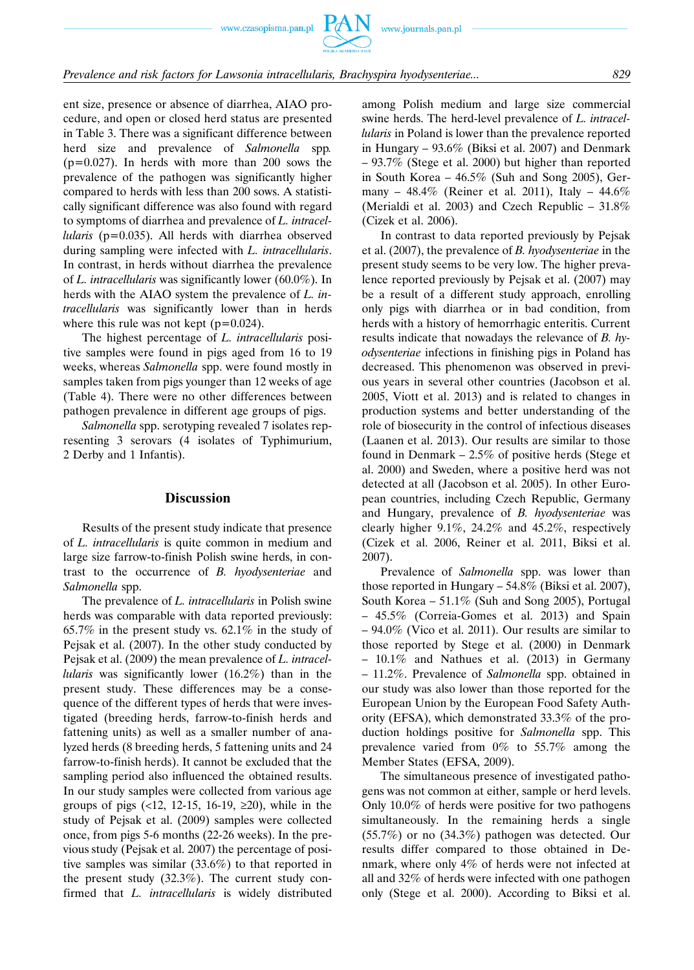# *Prevalence and risk factors for Lawsonia intracellularis, Brachyspira hyodysenteriae... 829*

ent size, presence or absence of diarrhea, AIAO procedure, and open or closed herd status are presented in Table 3. There was a significant difference between herd size and prevalence of *Salmonella* spp*.* (p=0.027). In herds with more than 200 sows the prevalence of the pathogen was significantly higher compared to herds with less than 200 sows. A statistically significant difference was also found with regard to symptoms of diarrhea and prevalence of *L. intracellularis* (p=0.035). All herds with diarrhea observed during sampling were infected with *L. intracellularis*. In contrast, in herds without diarrhea the prevalence of *L. intracellularis* was significantly lower (60.0%). In herds with the AIAO system the prevalence of *L. intracellularis* was significantly lower than in herds where this rule was not kept  $(p=0.024)$ .

The highest percentage of *L. intracellularis* positive samples were found in pigs aged from 16 to 19 weeks, whereas *Salmonella* spp. were found mostly in samples taken from pigs younger than 12 weeks of age (Table 4). There were no other differences between pathogen prevalence in different age groups of pigs.

*Salmonella* spp. serotyping revealed 7 isolates representing 3 serovars (4 isolates of Typhimurium, 2 Derby and 1 Infantis).

# **Discussion**

Results of the present study indicate that presence of *L. intracellularis* is quite common in medium and large size farrow-to-finish Polish swine herds, in contrast to the occurrence of *B. hyodysenteriae* and *Salmonella* spp.

The prevalence of *L. intracellularis* in Polish swine herds was comparable with data reported previously: 65.7% in the present study vs. 62.1% in the study of Pejsak et al. (2007). In the other study conducted by Pejsak et al. (2009) the mean prevalence of *L. intracellularis* was significantly lower (16.2%) than in the present study. These differences may be a consequence of the different types of herds that were investigated (breeding herds, farrow-to-finish herds and fattening units) as well as a smaller number of analyzed herds (8 breeding herds, 5 fattening units and 24 farrow-to-finish herds). It cannot be excluded that the sampling period also influenced the obtained results. In our study samples were collected from various age groups of pigs  $(12, 12-15, 16-19, 220)$ , while in the study of Pejsak et al. (2009) samples were collected once, from pigs 5-6 months (22-26 weeks). In the previous study (Pejsak et al. 2007) the percentage of positive samples was similar (33.6%) to that reported in the present study (32.3%). The current study confirmed that *L. intracellularis* is widely distributed among Polish medium and large size commercial swine herds. The herd-level prevalence of *L. intracellularis* in Poland is lower than the prevalence reported in Hungary – 93.6% (Biksi et al. 2007) and Denmark – 93.7% (Stege et al. 2000) but higher than reported in South Korea – 46.5% (Suh and Song 2005), Germany – 48.4% (Reiner et al. 2011), Italy – 44.6% (Merialdi et al. 2003) and Czech Republic – 31.8% (Cizek et al. 2006).

In contrast to data reported previously by Pejsak et al. (2007), the prevalence of *B. hyodysenteriae* in the present study seems to be very low. The higher prevalence reported previously by Pejsak et al. (2007) may be a result of a different study approach, enrolling only pigs with diarrhea or in bad condition, from herds with a history of hemorrhagic enteritis. Current results indicate that nowadays the relevance of *B. hyodysenteriae* infections in finishing pigs in Poland has decreased. This phenomenon was observed in previous years in several other countries (Jacobson et al. 2005, Viott et al. 2013) and is related to changes in production systems and better understanding of the role of biosecurity in the control of infectious diseases (Laanen et al. 2013). Our results are similar to those found in Denmark – 2.5% of positive herds (Stege et al. 2000) and Sweden, where a positive herd was not detected at all (Jacobson et al. 2005). In other European countries, including Czech Republic, Germany and Hungary, prevalence of *B. hyodysenteriae* was clearly higher 9.1%, 24.2% and 45.2%, respectively (Cizek et al. 2006, Reiner et al. 2011, Biksi et al. 2007).

Prevalence of *Salmonella* spp. was lower than those reported in Hungary – 54.8% (Biksi et al. 2007), South Korea – 51.1% (Suh and Song 2005), Portugal – 45.5% (Correia-Gomes et al. 2013) and Spain – 94.0% (Vico et al. 2011). Our results are similar to those reported by Stege et al. (2000) in Denmark – 10.1% and Nathues et al. (2013) in Germany – 11.2%. Prevalence of *Salmonella* spp. obtained in our study was also lower than those reported for the European Union by the European Food Safety Authority (EFSA), which demonstrated 33.3% of the production holdings positive for *Salmonella* spp. This prevalence varied from 0% to 55.7% among the Member States (EFSA, 2009).

The simultaneous presence of investigated pathogens was not common at either, sample or herd levels. Only 10.0% of herds were positive for two pathogens simultaneously. In the remaining herds a single (55.7%) or no (34.3%) pathogen was detected. Our results differ compared to those obtained in Denmark, where only 4% of herds were not infected at all and 32% of herds were infected with one pathogen only (Stege et al. 2000). According to Biksi et al.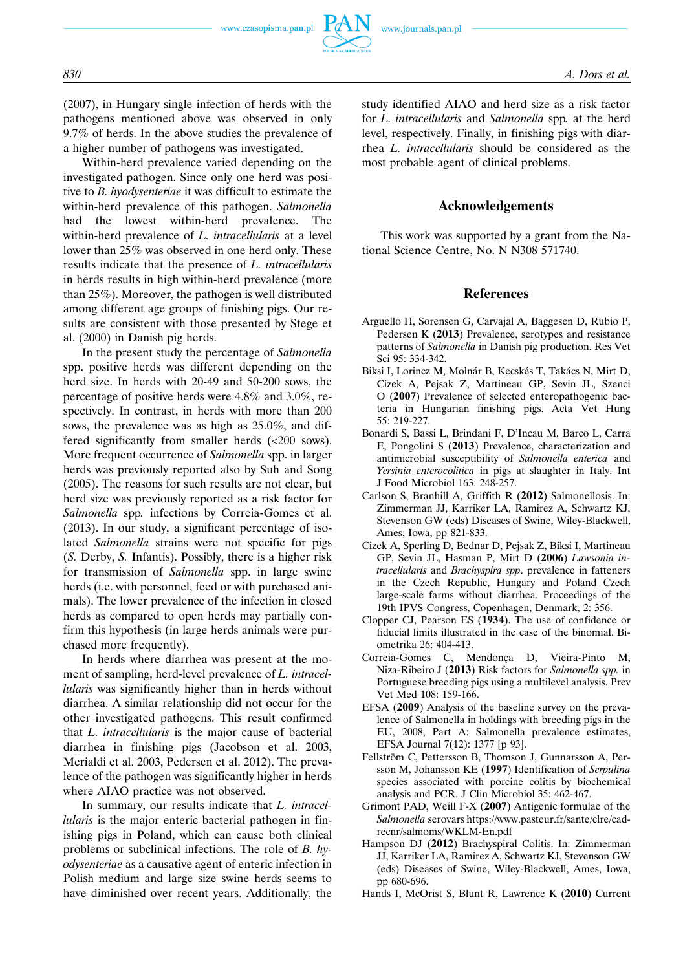

(2007), in Hungary single infection of herds with the pathogens mentioned above was observed in only 9.7% of herds. In the above studies the prevalence of a higher number of pathogens was investigated.

Within-herd prevalence varied depending on the investigated pathogen. Since only one herd was positive to *B. hyodysenteriae* it was difficult to estimate the within-herd prevalence of this pathogen. *Salmonella* had the lowest within-herd prevalence. The within-herd prevalence of *L. intracellularis* at a level lower than 25% was observed in one herd only. These results indicate that the presence of *L. intracellularis* in herds results in high within-herd prevalence (more than 25%). Moreover, the pathogen is well distributed among different age groups of finishing pigs. Our results are consistent with those presented by Stege et al. (2000) in Danish pig herds.

In the present study the percentage of *Salmonella* spp. positive herds was different depending on the herd size. In herds with 20-49 and 50-200 sows, the percentage of positive herds were 4.8% and 3.0%, respectively. In contrast, in herds with more than 200 sows, the prevalence was as high as 25.0%, and differed significantly from smaller herds (<200 sows). More frequent occurrence of *Salmonella* spp. in larger herds was previously reported also by Suh and Song (2005). The reasons for such results are not clear, but herd size was previously reported as a risk factor for *Salmonella* spp*.* infections by Correia-Gomes et al. (2013). In our study, a significant percentage of isolated *Salmonella* strains were not specific for pigs (*S.* Derby, *S.* Infantis). Possibly, there is a higher risk for transmission of *Salmonella* spp. in large swine herds (i.e. with personnel, feed or with purchased animals). The lower prevalence of the infection in closed herds as compared to open herds may partially confirm this hypothesis (in large herds animals were purchased more frequently).

In herds where diarrhea was present at the moment of sampling, herd-level prevalence of *L. intracellularis* was significantly higher than in herds without diarrhea. A similar relationship did not occur for the other investigated pathogens. This result confirmed that *L. intracellularis* is the major cause of bacterial diarrhea in finishing pigs (Jacobson et al. 2003, Merialdi et al. 2003, Pedersen et al. 2012). The prevalence of the pathogen was significantly higher in herds where AIAO practice was not observed.

In summary, our results indicate that *L. intracellularis* is the major enteric bacterial pathogen in finishing pigs in Poland, which can cause both clinical problems or subclinical infections. The role of *B. hyodysenteriae* as a causative agent of enteric infection in Polish medium and large size swine herds seems to have diminished over recent years. Additionally, the study identified AIAO and herd size as a risk factor for *L. intracellularis* and *Salmonella* spp*.* at the herd level, respectively. Finally, in finishing pigs with diarrhea *L. intracellularis* should be considered as the most probable agent of clinical problems.

## **Acknowledgements**

This work was supported by a grant from the National Science Centre, No. N N308 571740.

#### **References**

- Arguello H, Sorensen G, Carvajal A, Baggesen D, Rubio P, Pedersen K (**2013**) Prevalence, serotypes and resistance patterns of *Salmonella* in Danish pig production. Res Vet Sci 95: 334-342.
- Biksi I, Lorincz M, Molnár B, Kecskés T, Takács N, Mirt D, Cizek A, Pejsak Z, Martineau GP, Sevin JL, Szenci O (**2007**) Prevalence of selected enteropathogenic bacteria in Hungarian finishing pigs. Acta Vet Hung 55: 219-227.
- Bonardi S, Bassi L, Brindani F, D'Incau M, Barco L, Carra E, Pongolini S (**2013**) Prevalence, characterization and antimicrobial susceptibility of *Salmonella enterica* and *Yersinia enterocolitica* in pigs at slaughter in Italy. Int J Food Microbiol 163: 248-257.
- Carlson S, Branhill A, Griffith R (**2012**) Salmonellosis. In: Zimmerman JJ, Karriker LA, Ramirez A, Schwartz KJ, Stevenson GW (eds) Diseases of Swine, Wiley-Blackwell, Ames, Iowa, pp 821-833.
- Cizek A, Sperling D, Bednar D, Pejsak Z, Biksi I, Martineau GP, Sevin JL, Hasman P, Mirt D (**2006**) *Lawsonia intracellularis* and *Brachyspira spp*. prevalence in fatteners in the Czech Republic, Hungary and Poland Czech large-scale farms without diarrhea. Proceedings of the 19th IPVS Congress, Copenhagen, Denmark, 2: 356.
- Clopper CJ, Pearson ES (**1934**). The use of confidence or fiducial limits illustrated in the case of the binomial. Biometrika 26: 404-413.
- Correia-Gomes C, Mendonça D, Vieira-Pinto M, Niza-Ribeiro J (**2013**) Risk factors for *Salmonella spp.* in Portuguese breeding pigs using a multilevel analysis. Prev Vet Med 108: 159-166.
- EFSA (**2009**) Analysis of the baseline survey on the prevalence of Salmonella in holdings with breeding pigs in the EU, 2008, Part A: Salmonella prevalence estimates, EFSA Journal 7(12): 1377 [p 93].
- Fellström C, Pettersson B, Thomson J, Gunnarsson A, Persson M, Johansson KE (**1997**) Identification of *Serpulina* species associated with porcine colitis by biochemical analysis and PCR. J Clin Microbiol 35: 462-467.
- Grimont PAD, Weill F-X (**2007**) Antigenic formulae of the *Salmonella* serovars https://www.pasteur.fr/sante/clre/cadrecnr/salmoms/WKLM-En.pdf
- Hampson DJ (**2012**) Brachyspiral Colitis. In: Zimmerman JJ, Karriker LA, Ramirez A, Schwartz KJ, Stevenson GW (eds) Diseases of Swine, Wiley-Blackwell, Ames, Iowa, pp 680-696.
- Hands I, McOrist S, Blunt R, Lawrence K (**2010**) Current